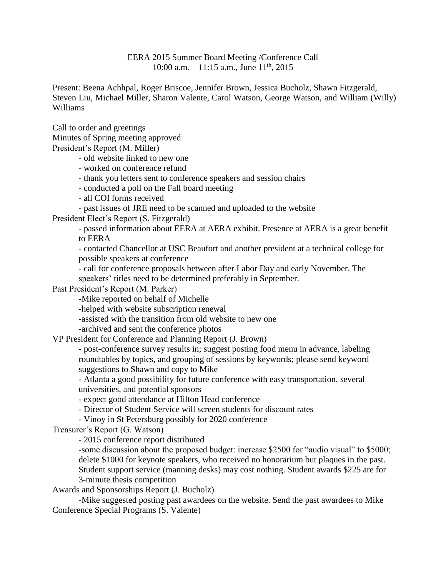EERA 2015 Summer Board Meeting /Conference Call 10:00 a.m.  $-11:15$  a.m., June  $11<sup>th</sup>$ , 2015

Present: Beena Achhpal, Roger Briscoe, Jennifer Brown, Jessica Bucholz, Shawn Fitzgerald, Steven Liu, Michael Miller, Sharon Valente, Carol Watson, George Watson, and William (Willy) Williams

Call to order and greetings Minutes of Spring meeting approved President's Report (M. Miller)

- old website linked to new one

- worked on conference refund

- thank you letters sent to conference speakers and session chairs

- conducted a poll on the Fall board meeting

- all COI forms received

- past issues of JRE need to be scanned and uploaded to the website

President Elect's Report (S. Fitzgerald)

- passed information about EERA at AERA exhibit. Presence at AERA is a great benefit to EERA

- contacted Chancellor at USC Beaufort and another president at a technical college for possible speakers at conference

- call for conference proposals between after Labor Day and early November. The speakers' titles need to be determined preferably in September.

Past President's Report (M. Parker)

-Mike reported on behalf of Michelle

-helped with website subscription renewal

-assisted with the transition from old website to new one

-archived and sent the conference photos

VP President for Conference and Planning Report (J. Brown)

- post-conference survey results in; suggest posting food menu in advance, labeling roundtables by topics, and grouping of sessions by keywords; please send keyword suggestions to Shawn and copy to Mike

- Atlanta a good possibility for future conference with easy transportation, several universities, and potential sponsors

- expect good attendance at Hilton Head conference

- Director of Student Service will screen students for discount rates

- Vinoy in St Petersburg possibly for 2020 conference

Treasurer's Report (G. Watson)

- 2015 conference report distributed

-some discussion about the proposed budget: increase \$2500 for "audio visual" to \$5000; delete \$1000 for keynote speakers, who received no honorarium but plaques in the past. Student support service (manning desks) may cost nothing. Student awards \$225 are for 3-minute thesis competition

Awards and Sponsorships Report (J. Bucholz)

-Mike suggested posting past awardees on the website. Send the past awardees to Mike Conference Special Programs (S. Valente)